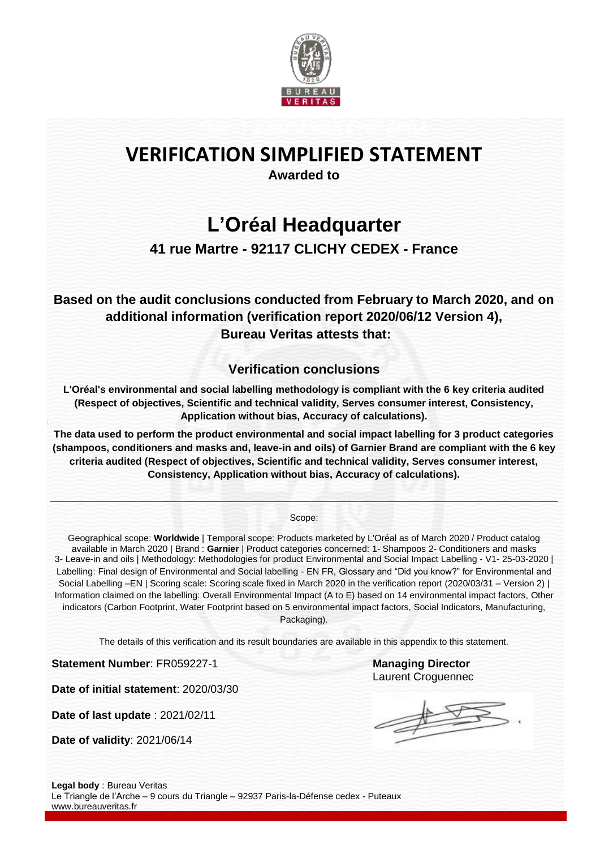

# **VERIFICATION SIMPLIFIED STATEMENT**

**Awarded to**

### **L'Oréal Headquarter**

### **41 rue Martre - 92117 CLICHY CEDEX - France**

**Based on the audit conclusions conducted from February to March 2020, and on additional information (verification report 2020/06/12 Version 4), Bureau Veritas attests that:**

### **Verification conclusions**

**L'Oréal's environmental and social labelling methodology is compliant with the 6 key criteria audited (Respect of objectives, Scientific and technical validity, Serves consumer interest, Consistency, Application without bias, Accuracy of calculations).**

**The data used to perform the product environmental and social impact labelling for 3 product categories (shampoos, conditioners and masks and, leave-in and oils) of Garnier Brand are compliant with the 6 key criteria audited (Respect of objectives, Scientific and technical validity, Serves consumer interest, Consistency, Application without bias, Accuracy of calculations).**

Scope:

Geographical scope: **Worldwide** | Temporal scope: Products marketed by L'Oréal as of March 2020 / Product catalog available in March 2020 | Brand : **Garnier** | Product categories concerned: 1- Shampoos 2- Conditioners and masks 3- Leave-in and oils | Methodology: Methodologies for product Environmental and Social Impact Labelling - V1- 25-03-2020 | Labelling: Final design of Environmental and Social labelling - EN FR, Glossary and "Did you know?" for Environmental and Social Labelling –EN | Scoring scale: Scoring scale fixed in March 2020 in the verification report (2020/03/31 – Version 2) | Information claimed on the labelling: Overall Environmental Impact (A to E) based on 14 environmental impact factors, Other indicators (Carbon Footprint, Water Footprint based on 5 environmental impact factors, Social Indicators, Manufacturing, Packaging).

The details of this verification and its result boundaries are available in this appendix to this statement.

**Statement Number: FR059227-1 Managing Director** 

**Date of initial statement**: 2020/03/30

**Date of last update** : 2021/02/11

**Date of validity**: 2021/06/14

Laurent Croguennec